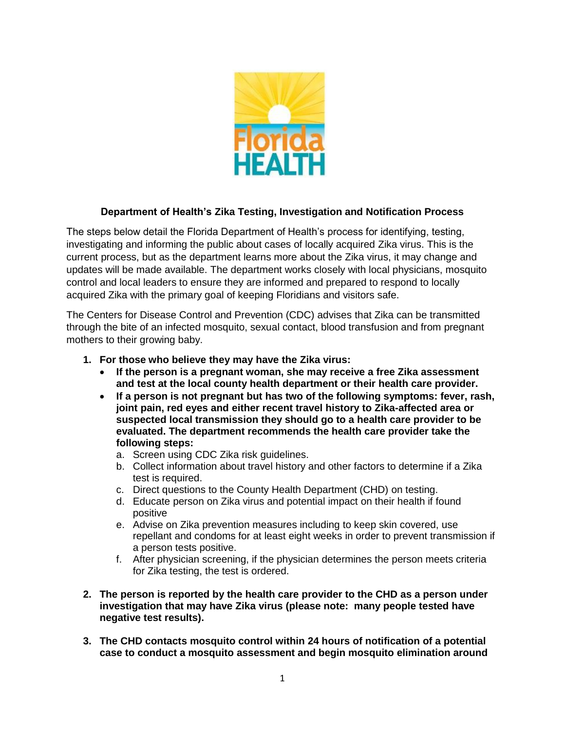

## **Department of Health's Zika Testing, Investigation and Notification Process**

The steps below detail the Florida Department of Health's process for identifying, testing, investigating and informing the public about cases of locally acquired Zika virus. This is the current process, but as the department learns more about the Zika virus, it may change and updates will be made available. The department works closely with local physicians, mosquito control and local leaders to ensure they are informed and prepared to respond to locally acquired Zika with the primary goal of keeping Floridians and visitors safe.

The Centers for Disease Control and Prevention (CDC) advises that Zika can be transmitted through the bite of an infected mosquito, sexual contact, blood transfusion and from pregnant mothers to their growing baby.

- **1. For those who believe they may have the Zika virus:**
	- **If the person is a pregnant woman, she may receive a free Zika assessment and test at the local county health department or their health care provider.**
	- **If a person is not pregnant but has two of the following symptoms: fever, rash, joint pain, red eyes and either recent travel history to Zika-affected area or suspected local transmission they should go to a health care provider to be evaluated. The department recommends the health care provider take the following steps:** 
		- a. Screen using CDC Zika risk guidelines.
		- b. Collect information about travel history and other factors to determine if a Zika test is required.
		- c. Direct questions to the County Health Department (CHD) on testing.
		- d. Educate person on Zika virus and potential impact on their health if found positive
		- e. Advise on Zika prevention measures including to keep skin covered, use repellant and condoms for at least eight weeks in order to prevent transmission if a person tests positive.
		- f. After physician screening, if the physician determines the person meets criteria for Zika testing, the test is ordered.
- **2. The person is reported by the health care provider to the CHD as a person under investigation that may have Zika virus (please note: many people tested have negative test results).**
- **3. The CHD contacts mosquito control within 24 hours of notification of a potential case to conduct a mosquito assessment and begin mosquito elimination around**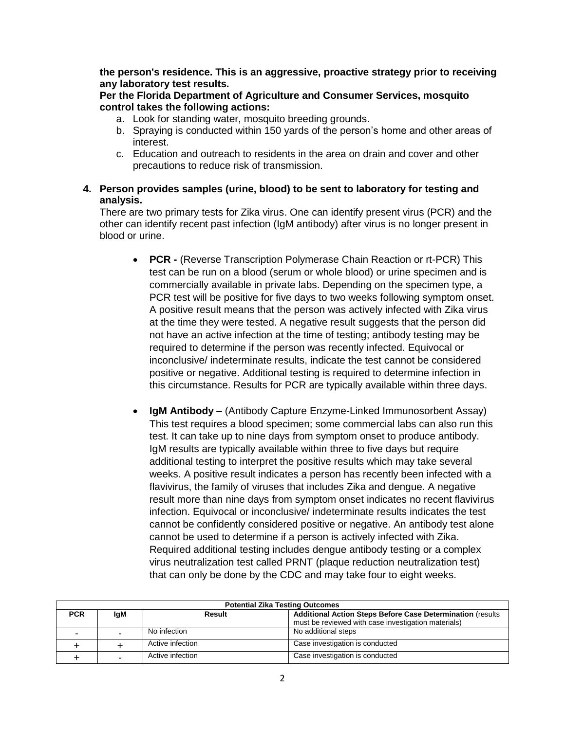**the person's residence. This is an aggressive, proactive strategy prior to receiving any laboratory test results.**

## **Per the Florida Department of Agriculture and Consumer Services, mosquito control takes the following actions:**

- a. Look for standing water, mosquito breeding grounds.
- b. Spraying is conducted within 150 yards of the person's home and other areas of interest.
- c. Education and outreach to residents in the area on drain and cover and other precautions to reduce risk of transmission.

## **4. Person provides samples (urine, blood) to be sent to laboratory for testing and analysis.**

There are two primary tests for Zika virus. One can identify present virus (PCR) and the other can identify recent past infection (IgM antibody) after virus is no longer present in blood or urine.

- **PCR -** (Reverse Transcription Polymerase Chain Reaction or rt-PCR) This test can be run on a blood (serum or whole blood) or urine specimen and is commercially available in private labs. Depending on the specimen type, a PCR test will be positive for five days to two weeks following symptom onset. A positive result means that the person was actively infected with Zika virus at the time they were tested. A negative result suggests that the person did not have an active infection at the time of testing; antibody testing may be required to determine if the person was recently infected. Equivocal or inconclusive/ indeterminate results, indicate the test cannot be considered positive or negative. Additional testing is required to determine infection in this circumstance. Results for PCR are typically available within three days.
- **IgM Antibody –** (Antibody Capture Enzyme-Linked Immunosorbent Assay) This test requires a blood specimen; some commercial labs can also run this test. It can take up to nine days from symptom onset to produce antibody. IgM results are typically available within three to five days but require additional testing to interpret the positive results which may take several weeks. A positive result indicates a person has recently been infected with a flavivirus, the family of viruses that includes Zika and dengue. A negative result more than nine days from symptom onset indicates no recent flavivirus infection. Equivocal or inconclusive/ indeterminate results indicates the test cannot be confidently considered positive or negative. An antibody test alone cannot be used to determine if a person is actively infected with Zika. Required additional testing includes dengue antibody testing or a complex virus neutralization test called PRNT (plaque reduction neutralization test) that can only be done by the CDC and may take four to eight weeks.

| <b>Potential Zika Testing Outcomes</b> |            |                  |                                                                    |  |
|----------------------------------------|------------|------------------|--------------------------------------------------------------------|--|
| <b>PCR</b>                             | <b>IgM</b> | Result           | <b>Additional Action Steps Before Case Determination (results)</b> |  |
|                                        |            |                  | must be reviewed with case investigation materials)                |  |
| -                                      | -          | No infection     | No additional steps                                                |  |
|                                        |            | Active infection | Case investigation is conducted                                    |  |
|                                        |            | Active infection | Case investigation is conducted                                    |  |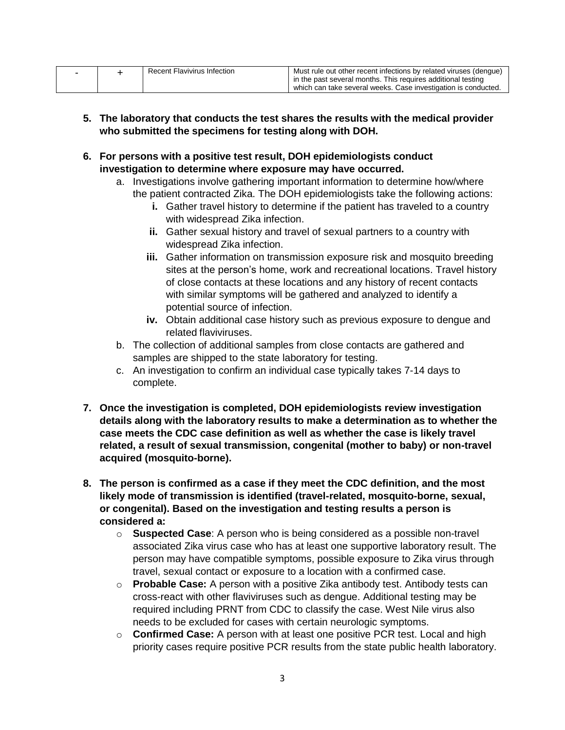|  | Recent Flavivirus Infection | Must rule out other recent infections by related viruses (dengue) |
|--|-----------------------------|-------------------------------------------------------------------|
|  |                             | in the past several months. This requires additional testing      |
|  |                             | which can take several weeks. Case investigation is conducted.    |

- **5. The laboratory that conducts the test shares the results with the medical provider who submitted the specimens for testing along with DOH.**
- **6. For persons with a positive test result, DOH epidemiologists conduct investigation to determine where exposure may have occurred.**
	- a. Investigations involve gathering important information to determine how/where the patient contracted Zika. The DOH epidemiologists take the following actions:
		- **i.** Gather travel history to determine if the patient has traveled to a country with widespread Zika infection.
		- **ii.** Gather sexual history and travel of sexual partners to a country with widespread Zika infection.
		- **iii.** Gather information on transmission exposure risk and mosquito breeding sites at the person's home, work and recreational locations. Travel history of close contacts at these locations and any history of recent contacts with similar symptoms will be gathered and analyzed to identify a potential source of infection.
		- **iv.** Obtain additional case history such as previous exposure to dengue and related flaviviruses.
	- b. The collection of additional samples from close contacts are gathered and samples are shipped to the state laboratory for testing.
	- c. An investigation to confirm an individual case typically takes 7-14 days to complete.
- **7. Once the investigation is completed, DOH epidemiologists review investigation details along with the laboratory results to make a determination as to whether the case meets the CDC case definition as well as whether the case is likely travel related, a result of sexual transmission, congenital (mother to baby) or non-travel acquired (mosquito-borne).**
- **8. The person is confirmed as a case if they meet the CDC definition, and the most likely mode of transmission is identified (travel-related, mosquito-borne, sexual, or congenital). Based on the investigation and testing results a person is considered a:** 
	- o **Suspected Case**: A person who is being considered as a possible non-travel associated Zika virus case who has at least one supportive laboratory result. The person may have compatible symptoms, possible exposure to Zika virus through travel, sexual contact or exposure to a location with a confirmed case.
	- o **Probable Case:** A person with a positive Zika antibody test. Antibody tests can cross-react with other flaviviruses such as dengue. Additional testing may be required including PRNT from CDC to classify the case. West Nile virus also needs to be excluded for cases with certain neurologic symptoms.
	- o **Confirmed Case:** A person with at least one positive PCR test. Local and high priority cases require positive PCR results from the state public health laboratory.